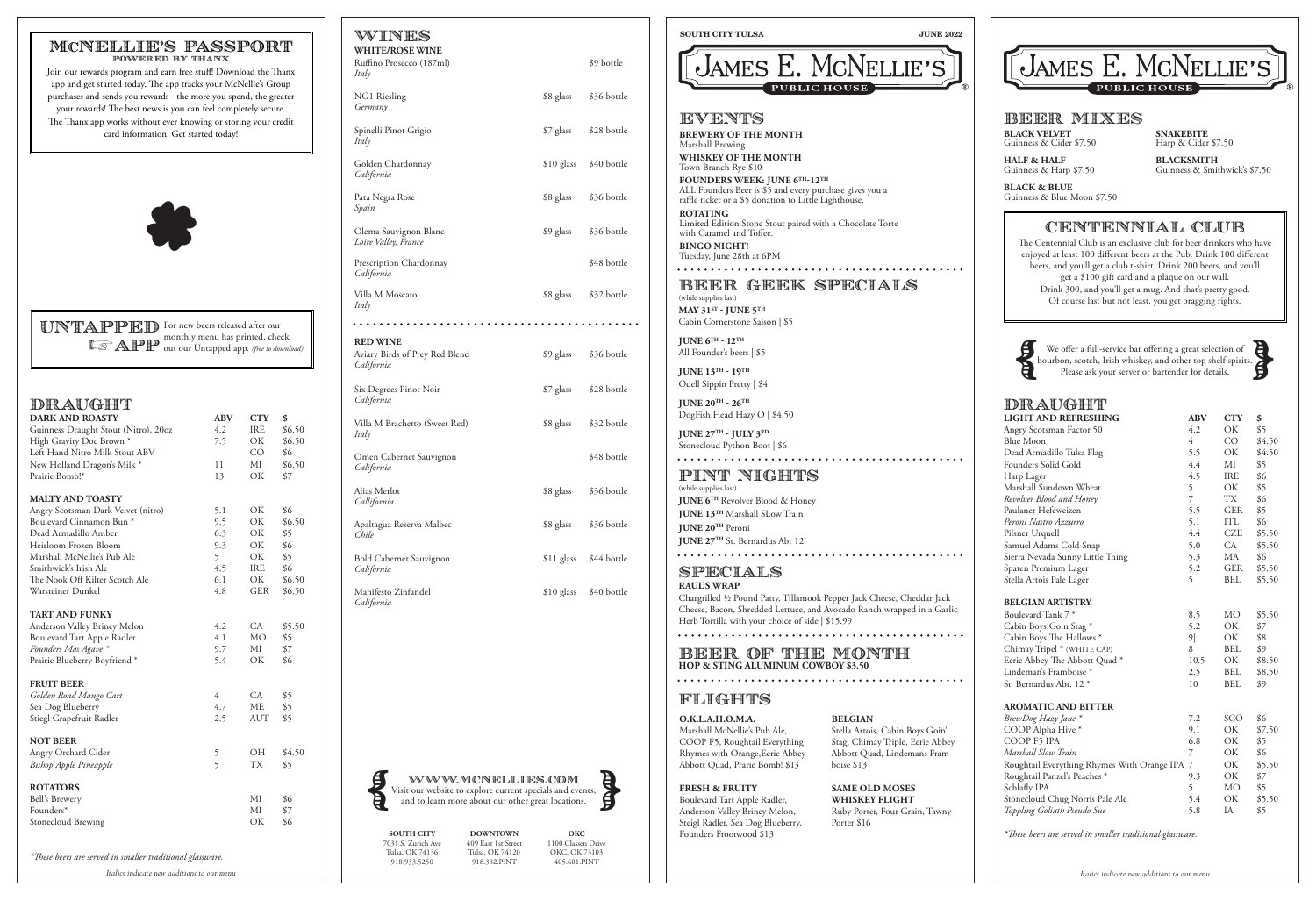| <b>LIGHT AND REFRESHING</b>                   | <b>ABV</b> | <b>CTY</b> | \$     |
|-----------------------------------------------|------------|------------|--------|
| Angry Scotsman Factor 50                      | 4.2        | OK         | \$5    |
| <b>Blue Moon</b>                              | 4          | CO         | \$4.50 |
| Dead Armadillo Tulsa Flag                     | 5.5        | ОK         | \$4.50 |
| Founders Solid Gold                           | 4.4        | МI         | \$5    |
| Harp Lager                                    | 4.5        | <b>IRE</b> | \$6    |
| Marshall Sundown Wheat                        | 5          | OK         | \$5    |
| Revolver Blood and Honey                      | 7          | <b>TX</b>  | \$6    |
| Paulaner Hefeweizen                           | 5.5        | <b>GER</b> | \$5    |
| Peroni Nastro Azzurro                         | 5.1        | ITL        | \$6    |
| Pilsner Urquell                               | 4.4        | <b>CZE</b> | \$5.50 |
| Samuel Adams Cold Snap                        | 5.0        | CA         | \$5.50 |
| Sierra Nevada Sunny Little Thing              | 5.3        | MA         | \$6    |
| Spaten Premium Lager                          | 5.2        | GER        | \$5.50 |
| Stella Artois Pale Lager                      | 5          | <b>BEL</b> | \$5.50 |
|                                               |            |            |        |
| <b>BELGIAN ARTISTRY</b>                       |            |            |        |
| Boulevard Tank 7*                             | 8.5        | <b>MO</b>  | \$5.50 |
| Cabin Boys Goin Stag*                         | 5.2        | OK         | \$7    |
| Cabin Boys The Hallows *                      | 9          | OK         | \$8    |
| Chimay Tripel * (WHITE CAP)                   | 8          | <b>BEL</b> | \$9    |
| Eerie Abbey The Abbott Quad*                  | 10.5       | OK         | \$8.50 |
| Lindeman's Framboise <sup>*</sup>             | 2.5        | <b>BEL</b> | \$8.50 |
| St. Bernardus Abt. 12 *                       | 10         | <b>BEL</b> | \$9    |
| <b>AROMATIC AND BITTER</b>                    |            |            |        |
| BrewDog Hazy Jane *                           | 7.2        | SCO        | \$6    |
| COOP Alpha Hive*                              | 9.1        | OK.        | \$7.50 |
| COOP F5 IPA                                   | 6.8        | ОK         | \$5    |
| Marshall Slow Train                           | 7          | OK.        | \$6    |
| Roughtail Everything Rhymes With Orange IPA 7 |            | OK         | \$5.50 |
| Roughtail Panzel's Peaches *                  | 9.3        | OK         | \$7    |
| Schlafly IPA                                  | 5          | <b>MO</b>  | \$5    |
| Stonecloud Chug Norris Pale Ale               | 5.4        | <b>OK</b>  | \$5.50 |
| Toppling Goliath Pseudo Sue                   | 5.8        | IA         | \$5    |
|                                               |            |            |        |

*\*These beers are served in smaller traditional glassware.*

NG1 Riesling \$8 glass \$36 bottle *Germany*

| DRAUGHT                                                     |            |            |        |
|-------------------------------------------------------------|------------|------------|--------|
| <b>DARK AND ROASTY</b>                                      | <b>ABV</b> | <b>CTY</b> | \$     |
| Guinness Draught Stout (Nitro), 20oz                        | 4.2        | IRE        | \$6.50 |
| High Gravity Doc Brown *                                    | 7.5        | OK         | \$6.50 |
| Left Hand Nitro Milk Stout ABV                              |            | CO         | \$6    |
| New Holland Dragon's Milk *                                 | 11         | МI         | \$6.50 |
| Prairie Bomb!*                                              | 13         | OK         | \$7    |
| <b>MALTY AND TOASTY</b>                                     |            |            |        |
|                                                             |            |            |        |
| Angry Scotsman Dark Velvet (nitro)                          | 5.1        | ОК         | \$6    |
| Boulevard Cinnamon Bun <sup>*</sup><br>Dead Armadillo Amber | 9.5        | OK         | \$6.50 |
|                                                             | 6.3        | OK         | \$5    |
| Heirloom Frozen Bloom                                       | 9.3        | OK         | \$6    |
| Marshall McNellie's Pub Ale                                 | 5          | OK         | \$5    |
| Smithwick's Irish Ale                                       | 4.5        | <b>IRE</b> | \$6    |
| The Nook Off Kilter Scotch Ale                              | 6.1        | OK         | \$6.50 |
| Warsteiner Dunkel                                           | 4.8        | <b>GER</b> | \$6.50 |
| TART AND FUNKY                                              |            |            |        |
| Anderson Valley Briney Melon                                | 4.2        | CA.        | \$5.50 |
| Boulevard Tart Apple Radler                                 | 4.1        | <b>MO</b>  | \$5    |
| Founders Mas Agave *                                        | 9.7        | МI         | \$7    |
| Prairie Blueberry Boyfriend*                                | 5.4        | OK         | \$6    |
| <b>FRUIT BEER</b>                                           |            |            |        |
| Golden Road Mango Cart                                      | 4          | CA         | \$5    |
| Sea Dog Blueberry                                           | 4.7        | <b>ME</b>  | \$5    |
| Stiegl Grapefruit Radler                                    | 2.5        | <b>AUT</b> | \$5    |
|                                                             |            |            |        |
| <b>NOT BEER</b>                                             |            |            |        |
| Angry Orchard Cider                                         | 5          | OН         | \$4.50 |
| <b>Bishop Apple Pineapple</b>                               | 5          | <b>TX</b>  | \$5    |
| <b>ROTATORS</b>                                             |            |            |        |
| Bell's Brewery                                              |            | МI         | \$6    |
| Founders*                                                   |            | MI         | \$7    |
| Stonecloud Brewing                                          |            | ОK         | \$6    |
|                                                             |            |            |        |

Spinelli Pinot Grigio  $$7$  glass \$28 bottle *Italy* Golden Chardonnay \$10 glass \$40 bottle *California*

Pata Negra Rose  $$8$  glass  $$36$  bottle *Spain* Olema Sauvignon Blanc  $$9$  glass  $$36$  bottle

Apaltagua Reserva Malbec  $$8$  glass  $$36$  bottle *Chile* Bold Cabernet Sauvignon \$11 glass \$44 bottle *California*

Manifesto Zinfandel \$10 glass \$40 bottle *California*

*\*These beers are served in smaller traditional glassware.*

WWW.MCNELLIES.com WWW.MCNELLIES.COM<br>Visit our website to explore current specials and events, and to learn more about our other great locations. **SOUTH CITY TULSA JUNE 2022**



# BEER GEEK SPECIALS

(while supplies last) **MAY 31ST - JUNE 5TH** Cabin Cornerstone Saison | \$5

**JUNE 6TH - 12TH** All Founder's beers | \$5

**JUNE 13TH - 19TH**  Odell Sippin Pretty | \$4

We offer a full-service bar offering a great selection of bourbon, scotch, Irish whiskey, and other top shelf spirits. We offer a full-service bar offering a great selection of bourbon, scotch, Irish whiskey, and other top shelf spirits. Please ask your server or bartender for details.



# **DRAUGHT**

**JUNE 20TH - 26TH** DogFish Head Hazy O | \$4.50

**JUNE 27TH - JULY 3RD** Stonecloud Python Boot | \$6  **BLACK VELVET**  Guinness & Cider \$7.50

**HALF & HALF** Guinness & Harp \$7.50

**BLACK & BLUE** Guinness & Blue Moon \$7.50

**SNAKEBITE** Harp & Cider \$7.50

**BLACKSMITH** Guinness & Smithwick's \$7.50

# BEER MIXES

# CENTENNIAL CLUB

The Centennial Club is an exclusive club for beer drinkers who have enjoyed at least 100 different beers at the Pub. Drink 100 different beers, and you'll get a club t-shirt. Drink 200 beers, and you'll get a \$100 gift card and a plaque on our wall. Drink 300, and you'll get a mug. And that's pretty good. Of course last but not least, you get bragging rights.



WINES **WHITE/ROSĚ WINE** Ruffino Prosecco (187ml) \$9 bottle *Italy* 

*Loire Valley, France* Prescription Chardonnay **\$48** bottle *California*

Villa M Moscato  $$8 \text{ glass} = $32 \text{ bottle}$ 

*Italy*

**RED WINE**

| Aviary Birds of Prey Red Blend<br>California | \$9 glass | \$36 bottle |
|----------------------------------------------|-----------|-------------|
| Six Degrees Pinot Noir<br>California         | \$7 glass | \$28 bottle |
| Villa M Brachetto (Sweet Red)<br>Italy       | \$8 glass | \$32 bottle |
| Omen Cabernet Sauvignon<br>California        |           | \$48 bottle |
| Alias Merlot                                 | \$8 glass | \$36 bottle |

*Callifornia*



#### UNTAPPED For new beers released after our monthly menu has printed, check out our Untapped app. *(free to download)* **Extrapp**

**SOUTH CITY**  7031 S. Zurich Ave Tulsa, OK 74136 918.933.5250

**DOWNTOWN**  409 East 1st Street Tulsa, OK 74120 918.382.PINT

**OKC** 1100 Classen Drive OKC, OK 73103 405.601.PINT

### MCNELLIE'S PASSPORT powered by thanx

Join our rewards program and earn free stuff! Download the Thanx app and get started today. The app tracks your McNellie's Group purchases and sends you rewards - the more you spend, the greater your rewards! The best news is you can feel completely secure. The Thanx app works without ever knowing or storing your credit card information. Get started today!

# BEER OF THE MONTH **HOP & STING ALUMINUM COWBOY \$3.50**

### SPECIALS **RAUL'S WRAP**

Chargrilled ∕2 Pound Patty, Tillamook Pepper Jack Cheese, Cheddar Jack Cheese, Bacon, Shredded Lettuce, and Avocado Ranch wrapped in a Garlic Herb Tortilla with your choice of side | \$15.99

# PINT NIGHTS

(while supplies last) **JUNE 6TH** Revolver Blood & Honey **JUNE 13TH** Marshall SLow Train **JUNE 20TH** Peroni **JUNE 27TH** St. Bernardus Abt 12

# EVENTS

**BREWERY OF THE MONTH** Marshall Brewing **WHISKEY OF THE MONTH** Town Branch Rye \$10 **FOUNDERS WEEK: JUNE 6TH-12TH** ALL Founders Beer is \$5 and every purchase gives you a raffle ticket or a \$5 donation to Little Lighthouse. **ROTATING**  Limited Edition Stone Stout paired with a Chocolate Torte

with Caramel and Toffee.

**BINGO NIGHT!** Tuesday, June 28th at 6PM 

**O.K.L.A.H.O.M.A.**

Marshall McNellie's Pub Ale, COOP F5, Roughtail Everything Rhymes with Orange,Eerie Abbey Abbott Quad, Prarie Bomb! \$13

## **FRESH & FRUITY**

Boulevard Tart Apple Radler, Anderson Valley Briney Melon, Steigl Radler, Sea Dog Blueberry, Founders Frootwood \$13

**BELGIAN** Stella Artois, Cabin Boys Goin' Stag, Chimay Triple, Eerie Abbey Abbott Quad, Lindemans Framboise \$13

# JAMES E. MCNELLIE'S

**SAME OLD MOSES WHISKEY FLIGHT** Ruby Porter, Four Grain, Tawny Porter \$16

## FLIGHTS